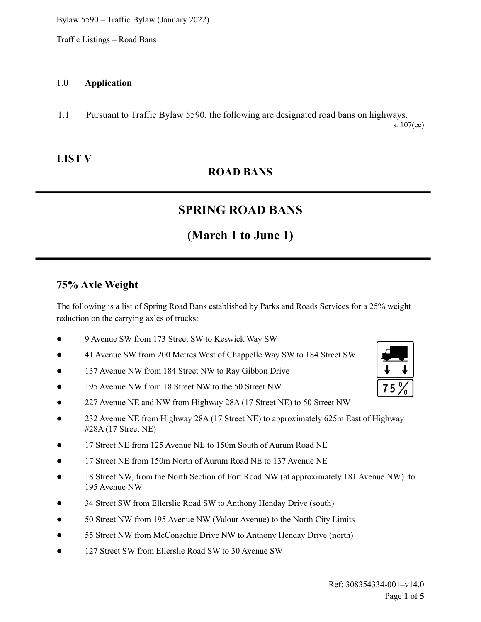Traffic Listings – Road Bans

#### 1.0 **Application**

1.1 Pursuant to Traffic Bylaw 5590, the following are designated road bans on highways. s. 107(ee)

### **LIST V**

### **ROAD BANS**

## **SPRING ROAD BANS**

## **(March 1 to June 1)**

#### **75% Axle Weight**

The following is a list of Spring Road Bans established by Parks and Roads Services for a 25% weight reduction on the carrying axles of trucks:

- 9 Avenue SW from 173 Street SW to Keswick Way SW
- 41 Avenue SW from 200 Metres West of Chappelle Way SW to 184 Street SW
- 137 Avenue NW from 184 Street NW to Ray Gibbon Drive
- 195 Avenue NW from 18 Street NW to the 50 Street NW
- 227 Avenue NE and NW from Highway 28A (17 Street NE) to 50 Street NW
- 232 Avenue NE from Highway 28A (17 Street NE) to approximately 625m East of Highway #28A (17 Street NE)
- 17 Street NE from 125 Avenue NE to 150m South of Aurum Road NE
- 17 Street NE from 150m North of Aurum Road NE to 137 Avenue NE
- 18 Street NW, from the North Section of Fort Road NW (at approximately 181 Avenue NW) to 195 Avenue NW
- 34 Street SW from Ellerslie Road SW to Anthony Henday Drive (south)
- 50 Street NW from 195 Avenue NW (Valour Avenue) to the North City Limits
- 55 Street NW from McConachie Drive NW to Anthony Henday Drive (north)
- 127 Street SW from Ellerslie Road SW to 30 Avenue SW

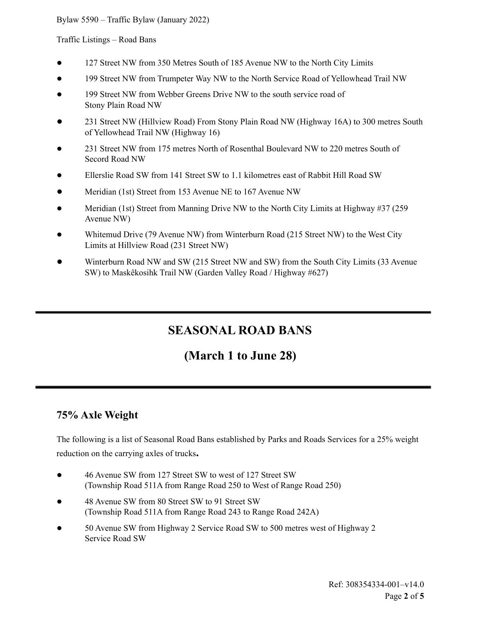Traffic Listings – Road Bans

- 127 Street NW from 350 Metres South of 185 Avenue NW to the North City Limits
- 199 Street NW from Trumpeter Way NW to the North Service Road of Yellowhead Trail NW
- 199 Street NW from Webber Greens Drive NW to the south service road of Stony Plain Road NW
- 231 Street NW (Hillview Road) From Stony Plain Road NW (Highway 16A) to 300 metres South of Yellowhead Trail NW (Highway 16)
- 231 Street NW from 175 metres North of Rosenthal Boulevard NW to 220 metres South of Secord Road NW
- Ellerslie Road SW from 141 Street SW to 1.1 kilometres east of Rabbit Hill Road SW
- Meridian (1st) Street from 153 Avenue NE to 167 Avenue NW
- Meridian (1st) Street from Manning Drive NW to the North City Limits at Highway  $#37$  (259) Avenue NW)
- Whitemud Drive (79 Avenue NW) from Winterburn Road (215 Street NW) to the West City Limits at Hillview Road (231 Street NW)
- Winterburn Road NW and SW (215 Street NW and SW) from the South City Limits (33 Avenue SW) to Maskêkosihk Trail NW (Garden Valley Road / Highway #627)

## **SEASONAL ROAD BANS**

## **(March 1 to June 28)**

### **75% Axle Weight**

The following is a list of Seasonal Road Bans established by Parks and Roads Services for a 25% weight reduction on the carrying axles of trucks**.**

- 46 Avenue SW from 127 Street SW to west of 127 Street SW (Township Road 511A from Range Road 250 to West of Range Road 250)
- 48 Avenue SW from 80 Street SW to 91 Street SW (Township Road 511A from Range Road 243 to Range Road 242A)
- 50 Avenue SW from Highway 2 Service Road SW to 500 metres west of Highway 2 Service Road SW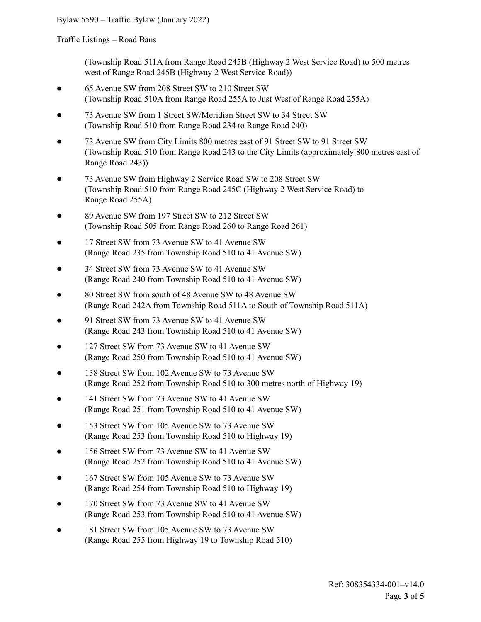Traffic Listings – Road Bans

(Township Road 511A from Range Road 245B (Highway 2 West Service Road) to 500 metres west of Range Road 245B (Highway 2 West Service Road))

- 65 Avenue SW from 208 Street SW to 210 Street SW (Township Road 510A from Range Road 255A to Just West of Range Road 255A)
- 73 Avenue SW from 1 Street SW/Meridian Street SW to 34 Street SW (Township Road 510 from Range Road 234 to Range Road 240)
- 73 Avenue SW from City Limits 800 metres east of 91 Street SW to 91 Street SW (Township Road 510 from Range Road 243 to the City Limits (approximately 800 metres east of Range Road 243))
- 73 Avenue SW from Highway 2 Service Road SW to 208 Street SW (Township Road 510 from Range Road 245C (Highway 2 West Service Road) to Range Road 255A)
- 89 Avenue SW from 197 Street SW to 212 Street SW (Township Road 505 from Range Road 260 to Range Road 261)
- 17 Street SW from 73 Avenue SW to 41 Avenue SW (Range Road 235 from Township Road 510 to 41 Avenue SW)
- 34 Street SW from 73 Avenue SW to 41 Avenue SW (Range Road 240 from Township Road 510 to 41 Avenue SW)
- 80 Street SW from south of 48 Avenue SW to 48 Avenue SW (Range Road 242A from Township Road 511A to South of Township Road 511A)
- 91 Street SW from 73 Avenue SW to 41 Avenue SW (Range Road 243 from Township Road 510 to 41 Avenue SW)
- 127 Street SW from 73 Avenue SW to 41 Avenue SW (Range Road 250 from Township Road 510 to 41 Avenue SW)
- 138 Street SW from 102 Avenue SW to 73 Avenue SW (Range Road 252 from Township Road 510 to 300 metres north of Highway 19)
- 141 Street SW from 73 Avenue SW to 41 Avenue SW (Range Road 251 from Township Road 510 to 41 Avenue SW)
- 153 Street SW from 105 Avenue SW to 73 Avenue SW (Range Road 253 from Township Road 510 to Highway 19)
- 156 Street SW from 73 Avenue SW to 41 Avenue SW (Range Road 252 from Township Road 510 to 41 Avenue SW)
- 167 Street SW from 105 Avenue SW to 73 Avenue SW (Range Road 254 from Township Road 510 to Highway 19)
- 170 Street SW from 73 Avenue SW to 41 Avenue SW (Range Road 253 from Township Road 510 to 41 Avenue SW)
- 181 Street SW from 105 Avenue SW to 73 Avenue SW (Range Road 255 from Highway 19 to Township Road 510)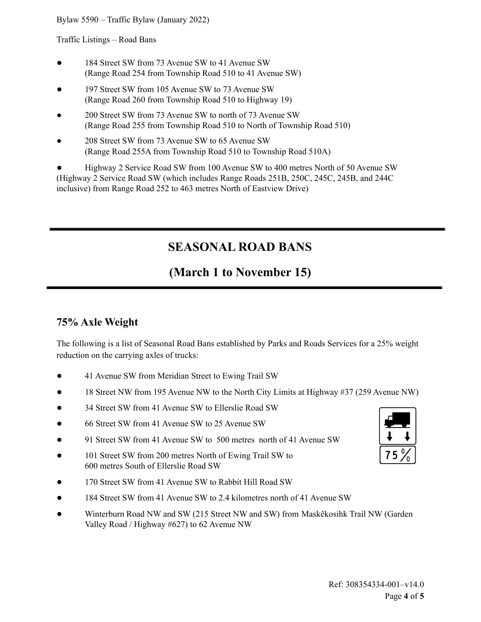Traffic Listings – Road Bans

- 184 Street SW from 73 Avenue SW to 41 Avenue SW (Range Road 254 from Township Road 510 to 41 Avenue SW)
- 197 Street SW from 105 Avenue SW to 73 Avenue SW (Range Road 260 from Township Road 510 to Highway 19)
- 200 Street SW from 73 Avenue SW to north of 73 Avenue SW (Range Road 255 from Township Road 510 to North of Township Road 510)
- 208 Street SW from 73 Avenue SW to 65 Avenue SW (Range Road 255A from Township Road 510 to Township Road 510A)

● Highway 2 Service Road SW from 100 Avenue SW to 400 metres North of 50 Avenue SW (Highway 2 Service Road SW (which includes Range Roads 251B, 250C, 245C, 245B, and 244C inclusive) from Range Road 252 to 463 metres North of Eastview Drive)

## **SEASONAL ROAD BANS**

## **(March 1 to November 15)**

### **75% Axle Weight**

The following is a list of Seasonal Road Bans established by Parks and Roads Services for a 25% weight reduction on the carrying axles of trucks:

- 41 Avenue SW from Meridian Street to Ewing Trail SW
- 18 Street NW from 195 Avenue NW to the North City Limits at Highway #37 (259 Avenue NW)
- 34 Street SW from 41 Avenue SW to Ellerslie Road SW
- 66 Street SW from 41 Avenue SW to 25 Avenue SW
- 91 Street SW from 41 Avenue SW to 500 metres north of 41 Avenue SW
- 101 Street SW from 200 metres North of Ewing Trail SW to 600 metres South of Ellerslie Road SW
- 170 Street SW from 41 Avenue SW to Rabbit Hill Road SW
- 184 Street SW from 41 Avenue SW to 2.4 kilometres north of 41 Avenue SW
- Winterburn Road NW and SW (215 Street NW and SW) from Maskêkosihk Trail NW (Garden Valley Road / Highway #627) to 62 Avenue NW